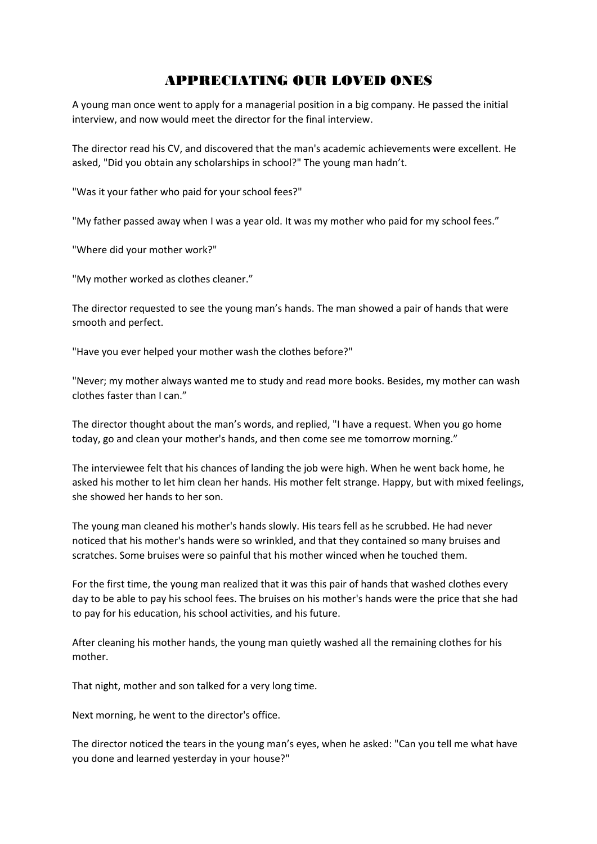## APPRECIATING OUR LOVED ONES

A young man once went to apply for a managerial position in a big company. He passed the initial interview, and now would meet the director for the final interview.

The director read his CV, and discovered that the man's academic achievements were excellent. He asked, "Did you obtain any scholarships in school?" The young man hadn't.

"Was it your father who paid for your school fees?"

"My father passed away when I was a year old. It was my mother who paid for my school fees."

"Where did your mother work?"

"My mother worked as clothes cleaner."

The director requested to see the young man's hands. The man showed a pair of hands that were smooth and perfect.

"Have you ever helped your mother wash the clothes before?"

"Never; my mother always wanted me to study and read more books. Besides, my mother can wash clothes faster than I can."

The director thought about the man's words, and replied, "I have a request. When you go home today, go and clean your mother's hands, and then come see me tomorrow morning."

The interviewee felt that his chances of landing the job were high. When he went back home, he asked his mother to let him clean her hands. His mother felt strange. Happy, but with mixed feelings, she showed her hands to her son.

The young man cleaned his mother's hands slowly. His tears fell as he scrubbed. He had never noticed that his mother's hands were so wrinkled, and that they contained so many bruises and scratches. Some bruises were so painful that his mother winced when he touched them.

For the first time, the young man realized that it was this pair of hands that washed clothes every day to be able to pay his school fees. The bruises on his mother's hands were the price that she had to pay for his education, his school activities, and his future.

After cleaning his mother hands, the young man quietly washed all the remaining clothes for his mother.

That night, mother and son talked for a very long time.

Next morning, he went to the director's office.

The director noticed the tears in the young man's eyes, when he asked: "Can you tell me what have you done and learned yesterday in your house?"